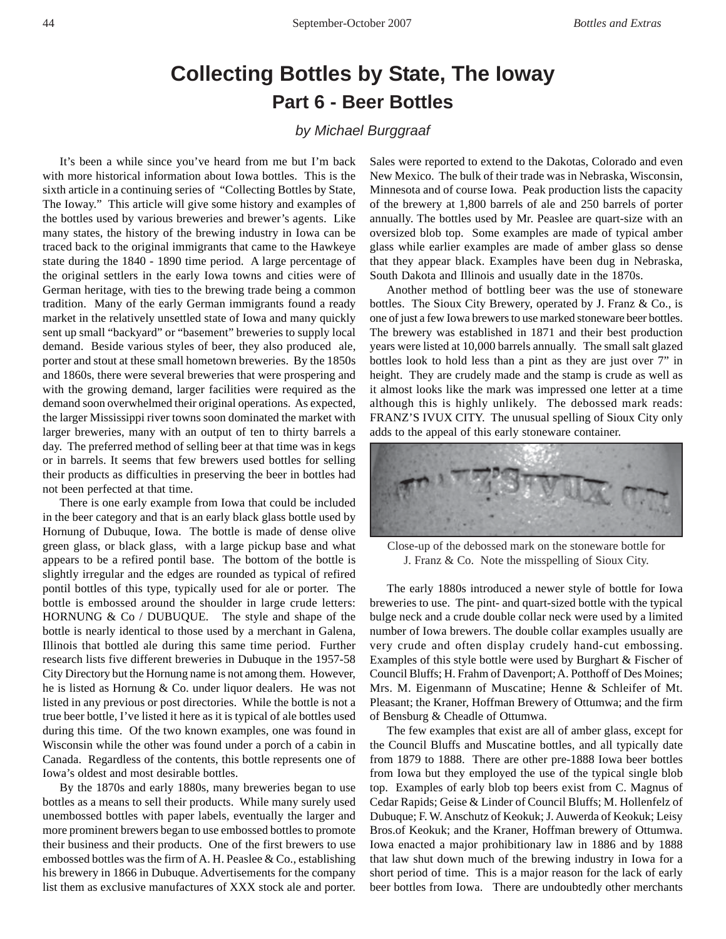## **Collecting Bottles by State, The Ioway Part 6 - Beer Bottles**

## *by Michael Burggraaf*

It's been a while since you've heard from me but I'm back with more historical information about Iowa bottles. This is the sixth article in a continuing series of "Collecting Bottles by State, The Ioway." This article will give some history and examples of the bottles used by various breweries and brewer's agents. Like many states, the history of the brewing industry in Iowa can be traced back to the original immigrants that came to the Hawkeye state during the 1840 - 1890 time period. A large percentage of the original settlers in the early Iowa towns and cities were of German heritage, with ties to the brewing trade being a common tradition. Many of the early German immigrants found a ready market in the relatively unsettled state of Iowa and many quickly sent up small "backyard" or "basement" breweries to supply local demand. Beside various styles of beer, they also produced ale, porter and stout at these small hometown breweries. By the 1850s and 1860s, there were several breweries that were prospering and with the growing demand, larger facilities were required as the demand soon overwhelmed their original operations. As expected, the larger Mississippi river towns soon dominated the market with larger breweries, many with an output of ten to thirty barrels a day. The preferred method of selling beer at that time was in kegs or in barrels. It seems that few brewers used bottles for selling their products as difficulties in preserving the beer in bottles had not been perfected at that time.

There is one early example from Iowa that could be included in the beer category and that is an early black glass bottle used by Hornung of Dubuque, Iowa. The bottle is made of dense olive green glass, or black glass, with a large pickup base and what appears to be a refired pontil base. The bottom of the bottle is slightly irregular and the edges are rounded as typical of refired pontil bottles of this type, typically used for ale or porter. The bottle is embossed around the shoulder in large crude letters: HORNUNG & Co / DUBUQUE. The style and shape of the bottle is nearly identical to those used by a merchant in Galena, Illinois that bottled ale during this same time period. Further research lists five different breweries in Dubuque in the 1957-58 City Directory but the Hornung name is not among them. However, he is listed as Hornung & Co. under liquor dealers. He was not listed in any previous or post directories. While the bottle is not a true beer bottle, I've listed it here as it is typical of ale bottles used during this time. Of the two known examples, one was found in Wisconsin while the other was found under a porch of a cabin in Canada. Regardless of the contents, this bottle represents one of Iowa's oldest and most desirable bottles.

By the 1870s and early 1880s, many breweries began to use bottles as a means to sell their products. While many surely used unembossed bottles with paper labels, eventually the larger and more prominent brewers began to use embossed bottles to promote their business and their products. One of the first brewers to use embossed bottles was the firm of A. H. Peaslee & Co., establishing his brewery in 1866 in Dubuque. Advertisements for the company list them as exclusive manufactures of XXX stock ale and porter. Sales were reported to extend to the Dakotas, Colorado and even New Mexico. The bulk of their trade was in Nebraska, Wisconsin, Minnesota and of course Iowa. Peak production lists the capacity of the brewery at 1,800 barrels of ale and 250 barrels of porter annually. The bottles used by Mr. Peaslee are quart-size with an oversized blob top. Some examples are made of typical amber glass while earlier examples are made of amber glass so dense that they appear black. Examples have been dug in Nebraska, South Dakota and Illinois and usually date in the 1870s.

Another method of bottling beer was the use of stoneware bottles. The Sioux City Brewery, operated by J. Franz & Co., is one of just a few Iowa brewers to use marked stoneware beer bottles. The brewery was established in 1871 and their best production years were listed at 10,000 barrels annually. The small salt glazed bottles look to hold less than a pint as they are just over 7" in height. They are crudely made and the stamp is crude as well as it almost looks like the mark was impressed one letter at a time although this is highly unlikely. The debossed mark reads: FRANZ'S IVUX CITY. The unusual spelling of Sioux City only adds to the appeal of this early stoneware container.



Close-up of the debossed mark on the stoneware bottle for J. Franz & Co. Note the misspelling of Sioux City.

The early 1880s introduced a newer style of bottle for Iowa breweries to use. The pint- and quart-sized bottle with the typical bulge neck and a crude double collar neck were used by a limited number of Iowa brewers. The double collar examples usually are very crude and often display crudely hand-cut embossing. Examples of this style bottle were used by Burghart & Fischer of Council Bluffs; H. Frahm of Davenport; A. Potthoff of Des Moines; Mrs. M. Eigenmann of Muscatine; Henne & Schleifer of Mt. Pleasant; the Kraner, Hoffman Brewery of Ottumwa; and the firm of Bensburg & Cheadle of Ottumwa.

The few examples that exist are all of amber glass, except for the Council Bluffs and Muscatine bottles, and all typically date from 1879 to 1888. There are other pre-1888 Iowa beer bottles from Iowa but they employed the use of the typical single blob top. Examples of early blob top beers exist from C. Magnus of Cedar Rapids; Geise & Linder of Council Bluffs; M. Hollenfelz of Dubuque; F. W. Anschutz of Keokuk; J. Auwerda of Keokuk; Leisy Bros.of Keokuk; and the Kraner, Hoffman brewery of Ottumwa. Iowa enacted a major prohibitionary law in 1886 and by 1888 that law shut down much of the brewing industry in Iowa for a short period of time. This is a major reason for the lack of early beer bottles from Iowa. There are undoubtedly other merchants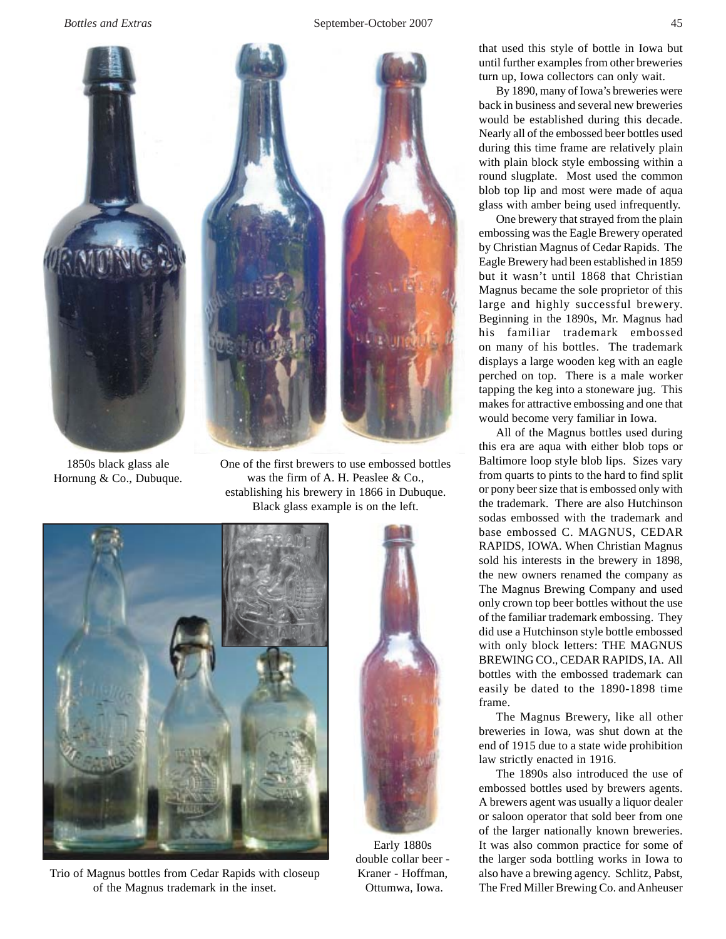

1850s black glass ale Hornung & Co., Dubuque.

One of the first brewers to use embossed bottles was the firm of A. H. Peaslee & Co., establishing his brewery in 1866 in Dubuque. Black glass example is on the left.



Trio of Magnus bottles from Cedar Rapids with closeup of the Magnus trademark in the inset.



Early 1880s double collar beer - Kraner - Hoffman, Ottumwa, Iowa.

that used this style of bottle in Iowa but until further examples from other breweries turn up, Iowa collectors can only wait.

By 1890, many of Iowa's breweries were back in business and several new breweries would be established during this decade. Nearly all of the embossed beer bottles used during this time frame are relatively plain with plain block style embossing within a round slugplate. Most used the common blob top lip and most were made of aqua glass with amber being used infrequently.

One brewery that strayed from the plain embossing was the Eagle Brewery operated by Christian Magnus of Cedar Rapids. The Eagle Brewery had been established in 1859 but it wasn't until 1868 that Christian Magnus became the sole proprietor of this large and highly successful brewery. Beginning in the 1890s, Mr. Magnus had his familiar trademark embossed on many of his bottles. The trademark displays a large wooden keg with an eagle perched on top. There is a male worker tapping the keg into a stoneware jug. This makes for attractive embossing and one that would become very familiar in Iowa.

All of the Magnus bottles used during this era are aqua with either blob tops or Baltimore loop style blob lips. Sizes vary from quarts to pints to the hard to find split or pony beer size that is embossed only with the trademark. There are also Hutchinson sodas embossed with the trademark and base embossed C. MAGNUS, CEDAR RAPIDS, IOWA. When Christian Magnus sold his interests in the brewery in 1898, the new owners renamed the company as The Magnus Brewing Company and used only crown top beer bottles without the use of the familiar trademark embossing. They did use a Hutchinson style bottle embossed with only block letters: THE MAGNUS BREWING CO., CEDAR RAPIDS, IA. All bottles with the embossed trademark can easily be dated to the 1890-1898 time frame.

The Magnus Brewery, like all other breweries in Iowa, was shut down at the end of 1915 due to a state wide prohibition law strictly enacted in 1916.

The 1890s also introduced the use of embossed bottles used by brewers agents. A brewers agent was usually a liquor dealer or saloon operator that sold beer from one of the larger nationally known breweries. It was also common practice for some of the larger soda bottling works in Iowa to also have a brewing agency. Schlitz, Pabst, The Fred Miller Brewing Co. and Anheuser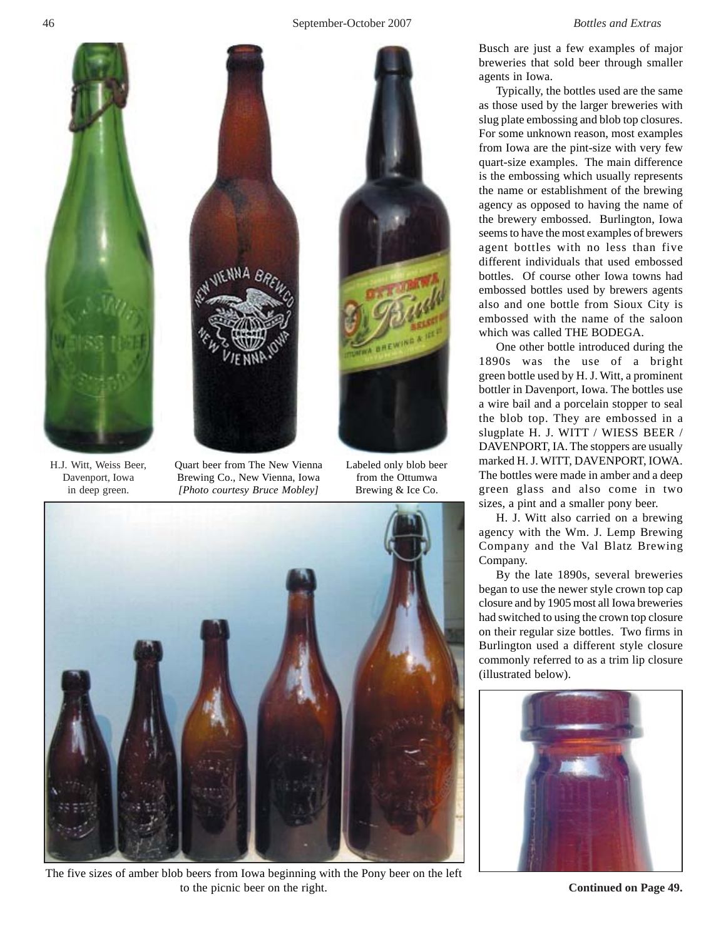## 46 September-October 2007 *Bottles and Extras*





H.J. Witt, Weiss Beer, Davenport, Iowa in deep green.

Quart beer from The New Vienna Brewing Co., New Vienna, Iowa *[Photo courtesy Bruce Mobley]*

Labeled only blob beer from the Ottumwa Brewing & Ice Co.



The five sizes of amber blob beers from Iowa beginning with the Pony beer on the left to the picnic beer on the right.

Busch are just a few examples of major breweries that sold beer through smaller agents in Iowa.

Typically, the bottles used are the same as those used by the larger breweries with slug plate embossing and blob top closures. For some unknown reason, most examples from Iowa are the pint-size with very few quart-size examples. The main difference is the embossing which usually represents the name or establishment of the brewing agency as opposed to having the name of the brewery embossed. Burlington, Iowa seems to have the most examples of brewers agent bottles with no less than five different individuals that used embossed bottles. Of course other Iowa towns had embossed bottles used by brewers agents also and one bottle from Sioux City is embossed with the name of the saloon which was called THE BODEGA.

One other bottle introduced during the 1890s was the use of a bright green bottle used by H. J. Witt, a prominent bottler in Davenport, Iowa. The bottles use a wire bail and a porcelain stopper to seal the blob top. They are embossed in a slugplate H. J. WITT / WIESS BEER / DAVENPORT, IA. The stoppers are usually marked H. J. WITT, DAVENPORT, IOWA. The bottles were made in amber and a deep green glass and also come in two sizes, a pint and a smaller pony beer.

H. J. Witt also carried on a brewing agency with the Wm. J. Lemp Brewing Company and the Val Blatz Brewing Company.

By the late 1890s, several breweries began to use the newer style crown top cap closure and by 1905 most all Iowa breweries had switched to using the crown top closure on their regular size bottles. Two firms in Burlington used a different style closure commonly referred to as a trim lip closure (illustrated below).



**Continued on Page 49.**